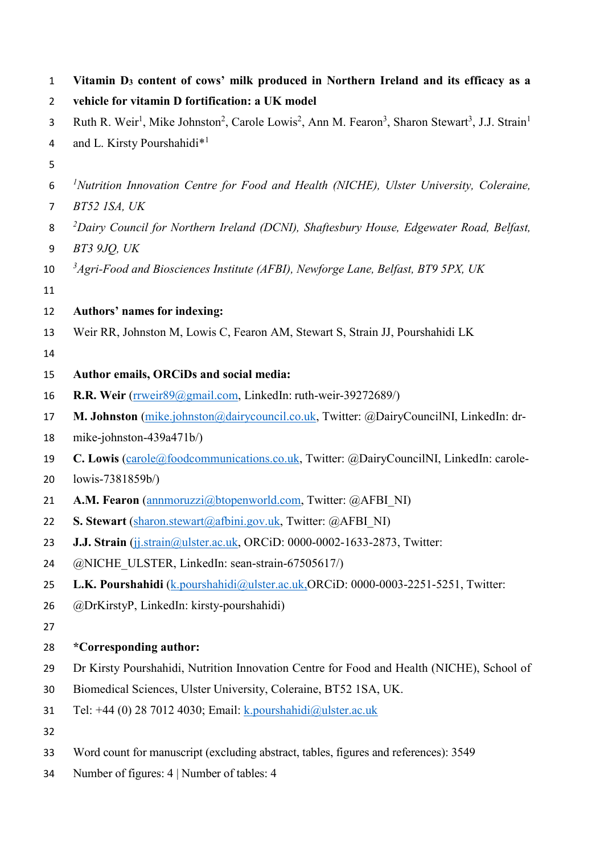| $\mathbf{1}$   | Vitamin D <sub>3</sub> content of cows' milk produced in Northern Ireland and its efficacy as a                                                                          |
|----------------|--------------------------------------------------------------------------------------------------------------------------------------------------------------------------|
| $\overline{2}$ | vehicle for vitamin D fortification: a UK model                                                                                                                          |
| 3              | Ruth R. Weir <sup>1</sup> , Mike Johnston <sup>2</sup> , Carole Lowis <sup>2</sup> , Ann M. Fearon <sup>3</sup> , Sharon Stewart <sup>3</sup> , J.J. Strain <sup>1</sup> |
| 4              | and L. Kirsty Pourshahidi* <sup>1</sup>                                                                                                                                  |
| 5              |                                                                                                                                                                          |
| 6              | <sup>1</sup> Nutrition Innovation Centre for Food and Health (NICHE), Ulster University, Coleraine,                                                                      |
| 7              | BT52 ISA, UK                                                                                                                                                             |
| 8              | <sup>2</sup> Dairy Council for Northern Ireland (DCNI), Shaftesbury House, Edgewater Road, Belfast,                                                                      |
| 9              | <b>BT3 9JO, UK</b>                                                                                                                                                       |
| 10             | <sup>3</sup> Agri-Food and Biosciences Institute (AFBI), Newforge Lane, Belfast, BT9 5PX, UK                                                                             |
| 11             |                                                                                                                                                                          |
| 12             | Authors' names for indexing:                                                                                                                                             |
| 13             | Weir RR, Johnston M, Lowis C, Fearon AM, Stewart S, Strain JJ, Pourshahidi LK                                                                                            |
| 14             |                                                                                                                                                                          |
| 15             | Author emails, ORCiDs and social media:                                                                                                                                  |
| 16             | R.R. Weir (rrweir89@gmail.com, LinkedIn: ruth-weir-39272689/)                                                                                                            |
| 17             | M. Johnston (mike.johnston@dairycouncil.co.uk, Twitter: @DairyCouncilNI, LinkedIn: dr-                                                                                   |
| 18             | mike-johnston-439a471b/)                                                                                                                                                 |
| 19             | C. Lowis (carole@foodcommunications.co.uk, Twitter: @DairyCouncilNI, LinkedIn: carole-                                                                                   |
| 20             | lowis-7381859b/)                                                                                                                                                         |
| 21             | A.M. Fearon (annmoruzzi@btopenworld.com, Twitter: @AFBI_NI)                                                                                                              |
| 22             | S. Stewart (sharon.stewart@afbini.gov.uk, Twitter: @AFBI NI)                                                                                                             |
| 23             | J.J. Strain (jj.strain@ulster.ac.uk, ORCiD: 0000-0002-1633-2873, Twitter:                                                                                                |
| 24             | @NICHE ULSTER, LinkedIn: sean-strain-67505617/)                                                                                                                          |
| 25             | L.K. Pourshahidi (k. pourshahidi@ulster.ac.uk.ORCiD: 0000-0003-2251-5251, Twitter:                                                                                       |
| 26             | @DrKirstyP, LinkedIn: kirsty-pourshahidi)                                                                                                                                |
| 27             |                                                                                                                                                                          |
| 28             | *Corresponding author:                                                                                                                                                   |
| 29             | Dr Kirsty Pourshahidi, Nutrition Innovation Centre for Food and Health (NICHE), School of                                                                                |
| 30             | Biomedical Sciences, Ulster University, Coleraine, BT52 1SA, UK.                                                                                                         |
| 31             | Tel: +44 (0) 28 7012 4030; Email: k.pourshahidi@ulster.ac.uk                                                                                                             |
| 32             |                                                                                                                                                                          |
| 33             | Word count for manuscript (excluding abstract, tables, figures and references): 3549                                                                                     |
| 34             | Number of figures: 4   Number of tables: 4                                                                                                                               |
|                |                                                                                                                                                                          |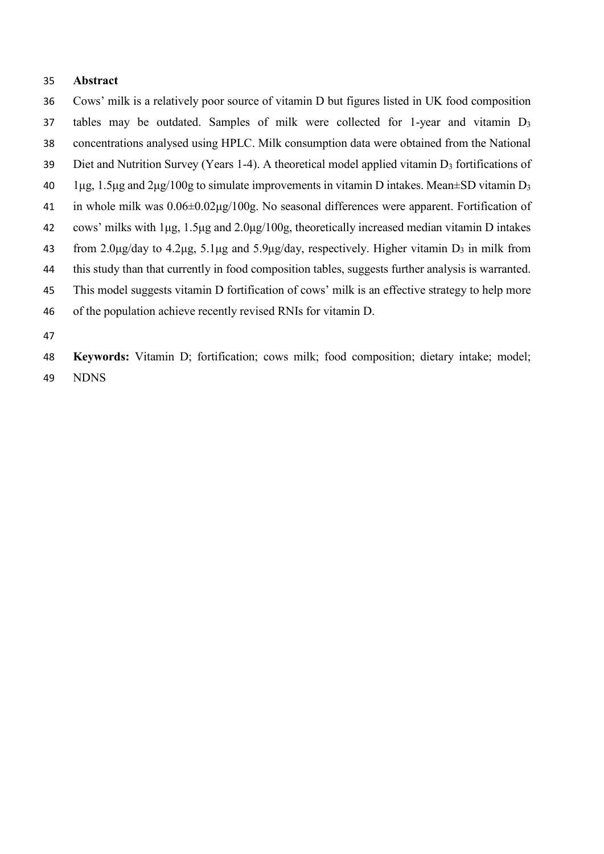## **Abstract**

- Cows' milk is a relatively poor source of vitamin D but figures listed in UK food composition 37 tables may be outdated. Samples of milk were collected for 1-year and vitamin D<sub>3</sub>
- concentrations analysed using HPLC. Milk consumption data were obtained from the National
- Diet and Nutrition Survey (Years 1-4). A theoretical model applied vitamin D3 fortifications of
- $1\mu$ g, 1.5 μg and 2 μg/100g to simulate improvements in vitamin D intakes. Mean $\pm$ SD vitamin D<sub>3</sub>
- in whole milk was 0.06±0.02μg/100g. No seasonal differences were apparent. Fortification of
- cows' milks with 1μg, 1.5μg and 2.0μg/100g, theoretically increased median vitamin D intakes
- from 2.0μg/day to 4.2μg, 5.1μg and 5.9μg/day, respectively. Higher vitamin D3 in milk from
- this study than that currently in food composition tables, suggests further analysis is warranted.
- This model suggests vitamin D fortification of cows' milk is an effective strategy to help more
- of the population achieve recently revised RNIs for vitamin D.
- 

 **Keywords:** Vitamin D; fortification; cows milk; food composition; dietary intake; model; NDNS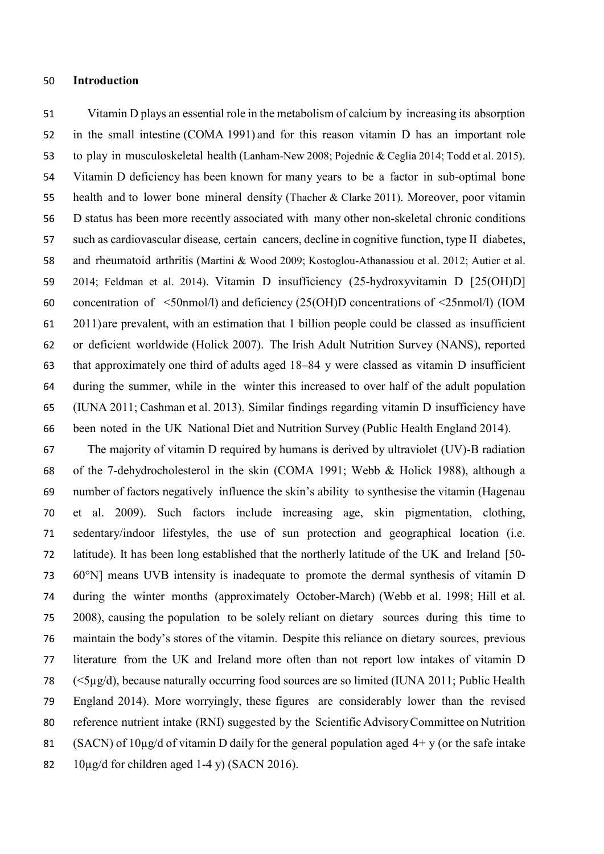### **Introduction**

 Vitamin D plays an essential role in the metabolism of calcium by increasing its absorption in the small intestine (COMA 1991) and for this reason vitamin D has an important role to play in musculoskeletal health (Lanham-New 2008; Pojednic & Ceglia 2014; Todd et al. 2015). Vitamin D deficiency has been known for many years to be a factor in sub-optimal bone health and to lower bone mineral density (Thacher & Clarke 2011). Moreover, poor vitamin D status has been more recently associated with many other non-skeletal chronic conditions such as cardiovascular disease*,* certain cancers, decline in cognitive function, type II diabetes, and rheumatoid arthritis (Martini & Wood 2009; Kostoglou-Athanassiou et al. 2012; Autier et al. 2014; Feldman et al. 2014). Vitamin D insufficiency (25-hydroxyvitamin D [25(OH)D] concentration of <50nmol/l) and deficiency (25(OH)D concentrations of <25nmol/l) (IOM 2011)are prevalent, with an estimation that 1 billion people could be classed as insufficient or deficient worldwide (Holick 2007). The Irish Adult Nutrition Survey (NANS), reported that approximately one third of adults aged 18–84 y were classed as vitamin D insufficient during the summer, while in the winter this increased to over half of the adult population (IUNA 2011; Cashman et al. 2013). Similar findings regarding vitamin D insufficiency have been noted in the UK National Diet and Nutrition Survey (Public Health England 2014).

 The majority of vitamin D required by humans is derived by ultraviolet (UV)-B radiation of the 7-dehydrocholesterol in the skin (COMA 1991; Webb & Holick 1988), although a number of factors negatively influence the skin's ability to synthesise the vitamin (Hagenau et al. 2009). Such factors include increasing age, skin pigmentation, clothing, sedentary/indoor lifestyles, the use of sun protection and geographical location (i.e. latitude). It has been long established that the northerly latitude of the UK and Ireland [50- 60°N] means UVB intensity is inadequate to promote the dermal synthesis of vitamin D during the winter months (approximately October-March) (Webb et al. 1998; Hill et al. 2008), causing the population to be solely reliant on dietary sources during this time to maintain the body's stores of the vitamin. Despite this reliance on dietary sources, previous literature from the UK and Ireland more often than not report low intakes of vitamin D (<5µg/d), because naturally occurring food sources are so limited (IUNA 2011; Public Health England 2014). More worryingly, these figures are considerably lower than the revised reference nutrient intake (RNI) suggested by the Scientific AdvisoryCommittee on Nutrition 81 (SACN) of  $10\mu$ g/d of vitamin D daily for the general population aged  $4+y$  (or the safe intake  $10\mu\text{g/d}$  for children aged 1-4 y) (SACN 2016).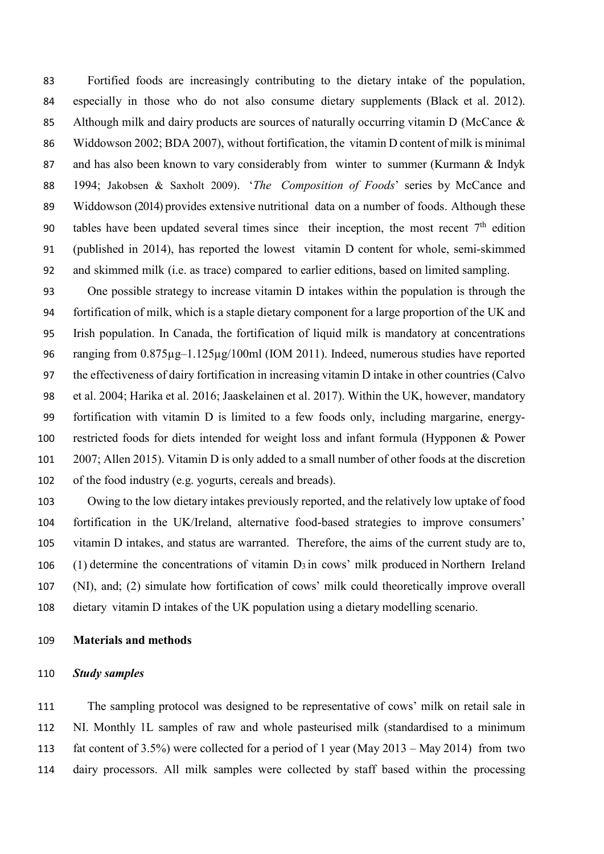Fortified foods are increasingly contributing to the dietary intake of the population, especially in those who do not also consume dietary supplements (Black et al. 2012). 85 Although milk and dairy products are sources of naturally occurring vitamin D (McCance & Widdowson 2002; BDA 2007), without fortification, the vitamin D content of milk is minimal and has also been known to vary considerably from winter to summer (Kurmann & Indyk 1994; Jakobsen & Saxholt 2009). '*The Composition of Foods*' series by McCance and Widdowson (2014) provides extensive nutritional data on a number of foods. Although these 90 tables have been updated several times since their inception, the most recent  $7<sup>th</sup>$  edition (published in 2014), has reported the lowest vitamin D content for whole, semi-skimmed and skimmed milk (i.e. as trace) compared to earlier editions, based on limited sampling.

 One possible strategy to increase vitamin D intakes within the population is through the fortification of milk, which is a staple dietary component for a large proportion of the UK and Irish population. In Canada, the fortification of liquid milk is mandatory at concentrations ranging from 0.875µg–1.125µg/100ml (IOM 2011). Indeed, numerous studies have reported the effectiveness of dairy fortification in increasing vitamin D intake in other countries (Calvo et al. 2004; Harika et al. 2016; Jaaskelainen et al. 2017). Within the UK, however, mandatory fortification with vitamin D is limited to a few foods only, including margarine, energy- restricted foods for diets intended for weight loss and infant formula (Hypponen & Power 2007; Allen 2015). Vitamin D is only added to a small number of other foods at the discretion of the food industry (e.g. yogurts, cereals and breads).

 Owing to the low dietary intakes previously reported, and the relatively low uptake of food fortification in the UK/Ireland, alternative food-based strategies to improve consumers' vitamin D intakes, and status are warranted. Therefore, the aims of the current study are to, 106 (1) determine the concentrations of vitamin  $D_3$  in cows' milk produced in Northern Ireland (NI), and; (2) simulate how fortification of cows' milk could theoretically improve overall dietary vitamin D intakes of the UK population using a dietary modelling scenario.

# **Materials and methods**

### *Study samples*

 The sampling protocol was designed to be representative of cows' milk on retail sale in NI. Monthly 1L samples of raw and whole pasteurised milk (standardised to a minimum fat content of 3.5%) were collected for a period of 1 year (May 2013 – May 2014) from two dairy processors. All milk samples were collected by staff based within the processing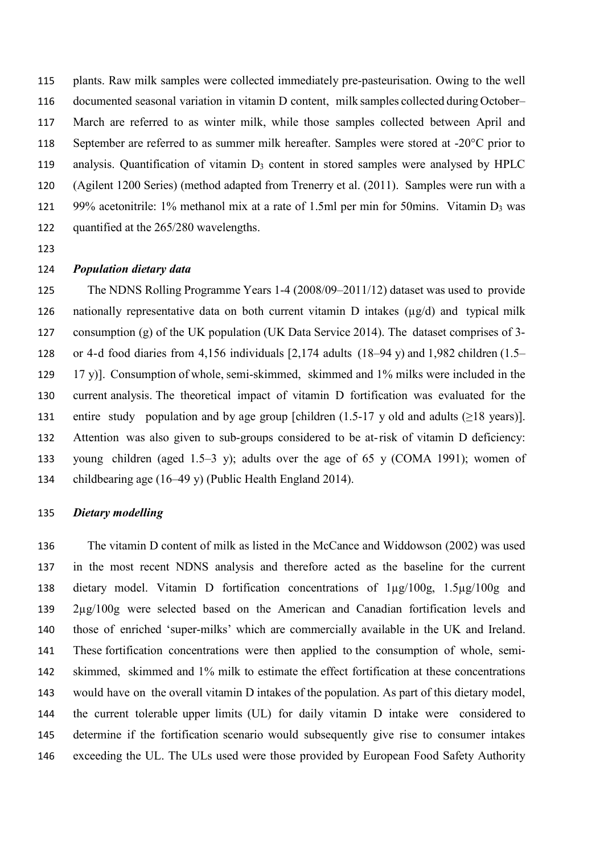plants. Raw milk samples were collected immediately pre-pasteurisation. Owing to the well documented seasonal variation in vitamin D content, milk samples collected during October– March are referred to as winter milk, while those samples collected between April and September are referred to as summer milk hereafter. Samples were stored at -20°C prior to analysis. Quantification of vitamin D3 content in stored samples were analysed by HPLC (Agilent 1200 Series) (method adapted from Trenerry et al. (2011). Samples were run with a 121 99% acetonitrile: 1% methanol mix at a rate of 1.5ml per min for 50mins. Vitamin  $D_3$  was quantified at the 265/280 wavelengths.

## *Population dietary data*

 The NDNS Rolling Programme Years 1-4 (2008/09–2011/12) dataset was used to provide 126 nationally representative data on both current vitamin D intakes  $(\mu g/d)$  and typical milk consumption (g) of the UK population (UK Data Service 2014). The dataset comprises of 3- or 4-d food diaries from 4,156 individuals [2,174 adults (18–94 y) and 1,982 children (1.5– 17 y)]. Consumption of whole, semi-skimmed, skimmed and 1% milks were included in the current analysis. The theoretical impact of vitamin D fortification was evaluated for the 131 entire study population and by age group [children (1.5-17 y old and adults  $(\geq 18 \text{ years})$ ]. Attention was also given to sub-groups considered to be at-risk of vitamin D deficiency: young children (aged 1.5–3 y); adults over the age of 65 y (COMA 1991); women of childbearing age (16–49 y) (Public Health England 2014).

### *Dietary modelling*

 The vitamin D content of milk as listed in the McCance and Widdowson (2002) was used in the most recent NDNS analysis and therefore acted as the baseline for the current dietary model. Vitamin D fortification concentrations of 1µg/100g, 1.5µg/100g and 2µg/100g were selected based on the American and Canadian fortification levels and those of enriched 'super-milks' which are commercially available in the UK and Ireland. These fortification concentrations were then applied to the consumption of whole, semi- skimmed, skimmed and 1% milk to estimate the effect fortification at these concentrations would have on the overall vitamin D intakes of the population. As part of this dietary model, the current tolerable upper limits (UL) for daily vitamin D intake were considered to determine if the fortification scenario would subsequently give rise to consumer intakes exceeding the UL. The ULs used were those provided by European Food Safety Authority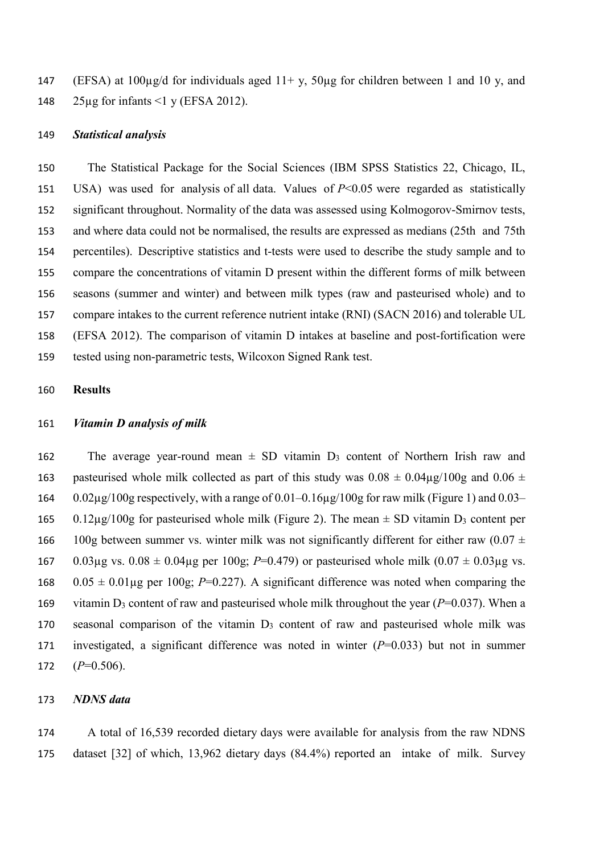147 (EFSA) at  $100\mu$ g/d for individuals aged  $11 + y$ ,  $50\mu$ g for children between 1 and 10 y, and 25µg for infants <1 y (EFSA 2012).

### *Statistical analysis*

 The Statistical Package for the Social Sciences (IBM SPSS Statistics 22, Chicago, IL, USA) was used for analysis of all data. Values of *P*<0.05 were regarded as statistically significant throughout. Normality of the data was assessed using Kolmogorov-Smirnov tests, and where data could not be normalised, the results are expressed as medians (25th and 75th percentiles). Descriptive statistics and t-tests were used to describe the study sample and to compare the concentrations of vitamin D present within the different forms of milk between seasons (summer and winter) and between milk types (raw and pasteurised whole) and to compare intakes to the current reference nutrient intake (RNI) (SACN 2016) and tolerable UL (EFSA 2012). The comparison of vitamin D intakes at baseline and post-fortification were tested using non-parametric tests, Wilcoxon Signed Rank test.

### **Results**

### *Vitamin D analysis of milk*

162 The average year-round mean  $\pm$  SD vitamin  $D_3$  content of Northern Irish raw and 163 pasteurised whole milk collected as part of this study was  $0.08 \pm 0.04\mu$ g/100g and  $0.06 \pm 0.04\mu$  0.02µg/100g respectively, with a range of 0.01–0.16µg/100g for raw milk (Figure 1) and 0.03– 165 0.12µg/100g for pasteurised whole milk (Figure 2). The mean  $\pm$  SD vitamin D<sub>3</sub> content per 166 100g between summer vs. winter milk was not significantly different for either raw (0.07  $\pm$ 167 0.03 $\mu$ g vs. 0.08  $\pm$  0.04 $\mu$ g per 100g; *P*=0.479) or pasteurised whole milk (0.07  $\pm$  0.03 $\mu$ g vs. 168  $0.05 \pm 0.01 \mu$ g per 100g; *P*=0.227). A significant difference was noted when comparing the 169 vitamin  $D_3$  content of raw and pasteurised whole milk throughout the year ( $P=0.037$ ). When a seasonal comparison of the vitamin D3 content of raw and pasteurised whole milk was investigated, a significant difference was noted in winter (*P*=0.033) but not in summer (*P*=0.506).

## *NDNS data*

 A total of 16,539 recorded dietary days were available for analysis from the raw NDNS dataset [32] of which, 13,962 dietary days (84.4%) reported an intake of milk. Survey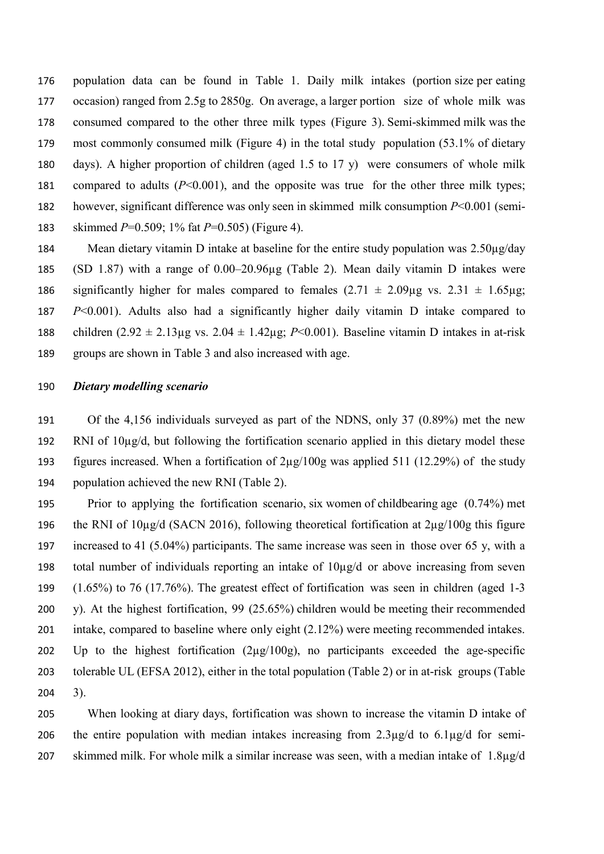population data can be found in Table 1. Daily milk intakes (portion size per eating occasion) ranged from 2.5g to 2850g. On average, a larger portion size of whole milk was consumed compared to the other three milk types (Figure 3). Semi-skimmed milk was the most commonly consumed milk (Figure 4) in the total study population (53.1% of dietary days). A higher proportion of children (aged 1.5 to 17 y) were consumers of whole milk compared to adults (*P*<0.001), and the opposite was true for the other three milk types; however, significant difference was only seen in skimmed milk consumption *P*<0.001 (semi-skimmed *P*=0.509; 1% fat *P*=0.505) (Figure 4).

184 Mean dietary vitamin D intake at baseline for the entire study population was 2.50µg/day (SD 1.87) with a range of 0.00–20.96µg (Table 2). Mean daily vitamin D intakes were 186 significantly higher for males compared to females  $(2.71 \pm 2.09 \mu g \text{ vs. } 2.31 \pm 1.65 \mu g)$ ; *P*<0.001). Adults also had a significantly higher daily vitamin D intake compared to 188 children  $(2.92 \pm 2.13 \mu g \text{ vs. } 2.04 \pm 1.42 \mu g$ ; *P*<0.001). Baseline vitamin D intakes in at-risk groups are shown in Table 3 and also increased with age.

#### *Dietary modelling scenario*

 Of the 4,156 individuals surveyed as part of the NDNS, only 37 (0.89%) met the new RNI of 10µg/d, but following the fortification scenario applied in this dietary model these figures increased. When a fortification of 2µg/100g was applied 511 (12.29%) of the study population achieved the new RNI (Table 2).

 Prior to applying the fortification scenario, six women of childbearing age (0.74%) met the RNI of 10µg/d (SACN 2016), following theoretical fortification at 2µg/100g this figure increased to 41 (5.04%) participants. The same increase was seen in those over 65 y, with a total number of individuals reporting an intake of 10µg/d or above increasing from seven (1.65%) to 76 (17.76%). The greatest effect of fortification was seen in children (aged 1-3 y). At the highest fortification, 99 (25.65%) children would be meeting their recommended intake, compared to baseline where only eight (2.12%) were meeting recommended intakes. Up to the highest fortification (2µg/100g), no participants exceeded the age-specific tolerable UL (EFSA 2012), either in the total population (Table 2) or in at-risk groups (Table 3).

 When looking at diary days, fortification was shown to increase the vitamin D intake of 206 the entire population with median intakes increasing from  $2.3\mu g/d$  to  $6.1\mu g/d$  for semi-skimmed milk. For whole milk a similar increase was seen, with a median intake of 1.8µg/d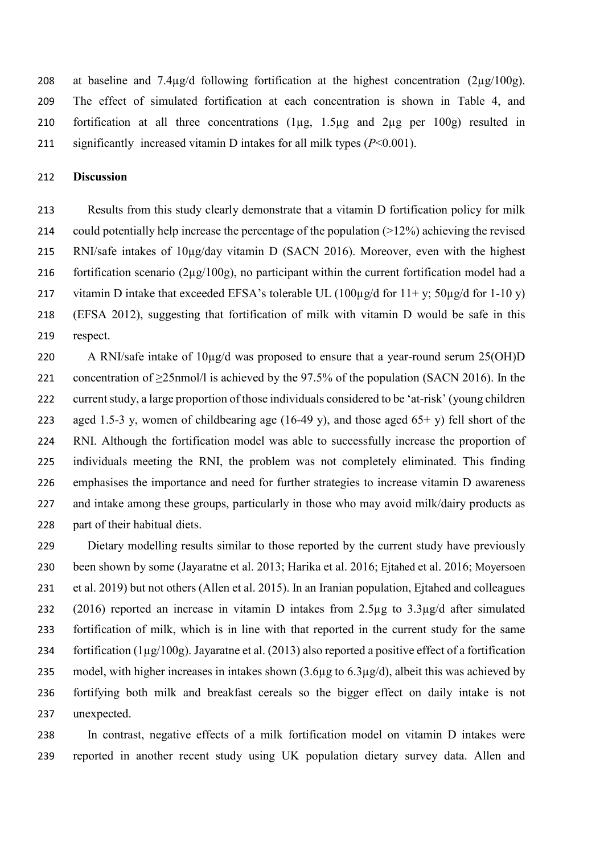208 at baseline and  $7.4\mu$ g/d following fortification at the highest concentration  $(2\mu$ g/100g). The effect of simulated fortification at each concentration is shown in Table 4, and fortification at all three concentrations (1µg, 1.5µg and 2µg per 100g) resulted in significantly increased vitamin D intakes for all milk types (*P*<0.001).

## **Discussion**

 Results from this study clearly demonstrate that a vitamin D fortification policy for milk could potentially help increase the percentage of the population (>12%) achieving the revised 215 RNI/safe intakes of  $10\mu$ g/day vitamin D (SACN 2016). Moreover, even with the highest 216 fortification scenario ( $2\mu$ g/100g), no participant within the current fortification model had a 217 vitamin D intake that exceeded EFSA's tolerable UL (100 $\mu$ g/d for 11+ y; 50 $\mu$ g/d for 1-10 y) (EFSA 2012), suggesting that fortification of milk with vitamin D would be safe in this respect.

220 A RNI/safe intake of  $10\mu$ g/d was proposed to ensure that a year-round serum 25(OH)D concentration of ≥25nmol/l is achieved by the 97.5% of the population (SACN 2016). In the current study, a large proportion of those individuals considered to be 'at-risk' (young children 223 aged 1.5-3 y, women of childbearing age (16-49 y), and those aged  $65+$  y) fell short of the RNI. Although the fortification model was able to successfully increase the proportion of individuals meeting the RNI, the problem was not completely eliminated. This finding emphasises the importance and need for further strategies to increase vitamin D awareness 227 and intake among these groups, particularly in those who may avoid milk/dairy products as part of their habitual diets.

 Dietary modelling results similar to those reported by the current study have previously been shown by some (Jayaratne et al. 2013; Harika et al. 2016; Ejtahed et al. 2016; Moyersoen et al. 2019) but not others (Allen et al. 2015). In an Iranian population, Ejtahed and colleagues (2016) reported an increase in vitamin D intakes from 2.5µg to 3.3µg/d after simulated fortification of milk, which is in line with that reported in the current study for the same 234 fortification  $(1\mu g/100g)$ . Jayaratne et al. (2013) also reported a positive effect of a fortification model, with higher increases in intakes shown (3.6µg to 6.3µg/d), albeit this was achieved by fortifying both milk and breakfast cereals so the bigger effect on daily intake is not unexpected.

 In contrast, negative effects of a milk fortification model on vitamin D intakes were reported in another recent study using UK population dietary survey data. Allen and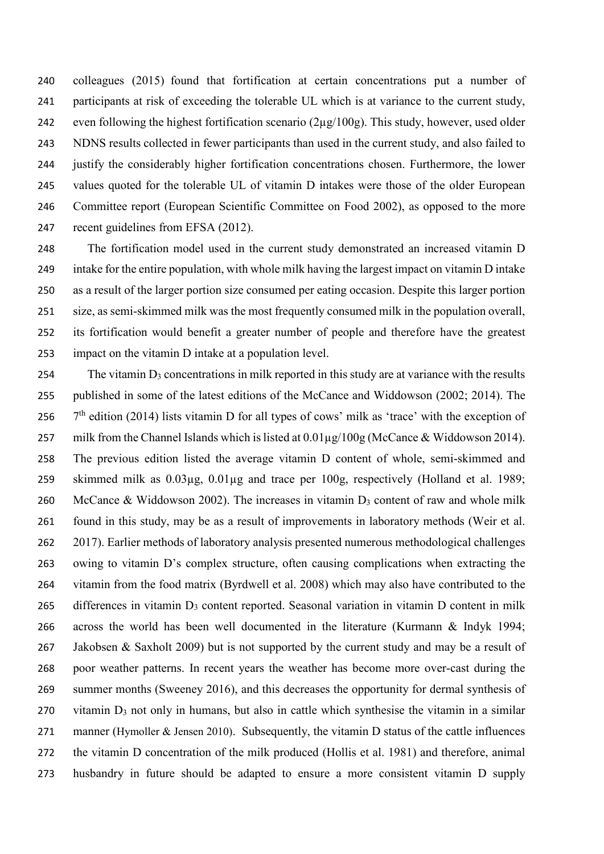colleagues (2015) found that fortification at certain concentrations put a number of participants at risk of exceeding the tolerable UL which is at variance to the current study, 242 even following the highest fortification scenario  $(2\mu g/100g)$ . This study, however, used older NDNS results collected in fewer participants than used in the current study, and also failed to justify the considerably higher fortification concentrations chosen. Furthermore, the lower values quoted for the tolerable UL of vitamin D intakes were those of the older European Committee report (European Scientific Committee on Food 2002), as opposed to the more recent guidelines from EFSA (2012).

 The fortification model used in the current study demonstrated an increased vitamin D intake for the entire population, with whole milk having the largest impact on vitamin D intake as a result of the larger portion size consumed per eating occasion. Despite this larger portion size, as semi-skimmed milk was the most frequently consumed milk in the population overall, its fortification would benefit a greater number of people and therefore have the greatest impact on the vitamin D intake at a population level.

254 The vitamin  $D_3$  concentrations in milk reported in this study are at variance with the results published in some of the latest editions of the McCance and Widdowson (2002; 2014). The  $7<sup>th</sup>$  edition (2014) lists vitamin D for all types of cows' milk as 'trace' with the exception of 257 milk from the Channel Islands which is listed at  $0.01\mu$ g/ $100$ g (McCance & Widdowson 2014). The previous edition listed the average vitamin D content of whole, semi-skimmed and skimmed milk as 0.03µg, 0.01µg and trace per 100g, respectively (Holland et al. 1989; 260 McCance & Widdowson 2002). The increases in vitamin  $D_3$  content of raw and whole milk found in this study, may be as a result of improvements in laboratory methods (Weir et al. 2017). Earlier methods of laboratory analysis presented numerous methodological challenges owing to vitamin D's complex structure, often causing complications when extracting the vitamin from the food matrix (Byrdwell et al. 2008) which may also have contributed to the 265 differences in vitamin  $D_3$  content reported. Seasonal variation in vitamin D content in milk across the world has been well documented in the literature (Kurmann & Indyk 1994; 267 Jakobsen & Saxholt 2009) but is not supported by the current study and may be a result of poor weather patterns. In recent years the weather has become more over-cast during the summer months (Sweeney 2016), and this decreases the opportunity for dermal synthesis of 270 vitamin  $D_3$  not only in humans, but also in cattle which synthesise the vitamin in a similar manner (Hymoller & Jensen 2010). Subsequently, the vitamin D status of the cattle influences the vitamin D concentration of the milk produced (Hollis et al. 1981) and therefore, animal husbandry in future should be adapted to ensure a more consistent vitamin D supply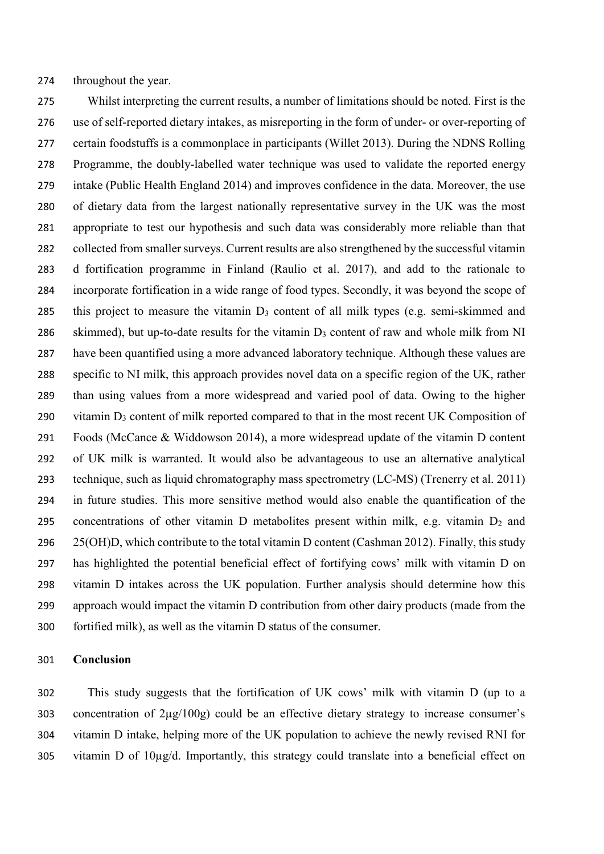throughout the year.

 Whilst interpreting the current results, a number of limitations should be noted. First is the use of self-reported dietary intakes, as misreporting in the form of under- or over-reporting of certain foodstuffs is a commonplace in participants (Willet 2013). During the NDNS Rolling Programme, the doubly-labelled water technique was used to validate the reported energy intake (Public Health England 2014) and improves confidence in the data. Moreover, the use of dietary data from the largest nationally representative survey in the UK was the most appropriate to test our hypothesis and such data was considerably more reliable than that 282 collected from smaller surveys. Current results are also strengthened by the successful vitamin d fortification programme in Finland (Raulio et al. 2017), and add to the rationale to incorporate fortification in a wide range of food types. Secondly, it was beyond the scope of 285 this project to measure the vitamin  $D_3$  content of all milk types (e.g. semi-skimmed and 286 skimmed), but up-to-date results for the vitamin D<sub>3</sub> content of raw and whole milk from NI have been quantified using a more advanced laboratory technique. Although these values are specific to NI milk, this approach provides novel data on a specific region of the UK, rather than using values from a more widespread and varied pool of data. Owing to the higher 290 vitamin  $D_3$  content of milk reported compared to that in the most recent UK Composition of Foods (McCance & Widdowson 2014), a more widespread update of the vitamin D content of UK milk is warranted. It would also be advantageous to use an alternative analytical technique, such as liquid chromatography mass spectrometry (LC-MS) (Trenerry et al. 2011) in future studies. This more sensitive method would also enable the quantification of the 295 concentrations of other vitamin D metabolites present within milk, e.g. vitamin  $D_2$  and 296 25(OH)D, which contribute to the total vitamin D content (Cashman 2012). Finally, this study has highlighted the potential beneficial effect of fortifying cows' milk with vitamin D on vitamin D intakes across the UK population. Further analysis should determine how this approach would impact the vitamin D contribution from other dairy products (made from the fortified milk), as well as the vitamin D status of the consumer.

#### **Conclusion**

 This study suggests that the fortification of UK cows' milk with vitamin D (up to a concentration of 2µg/100g) could be an effective dietary strategy to increase consumer's vitamin D intake, helping more of the UK population to achieve the newly revised RNI for vitamin D of 10µg/d. Importantly, this strategy could translate into a beneficial effect on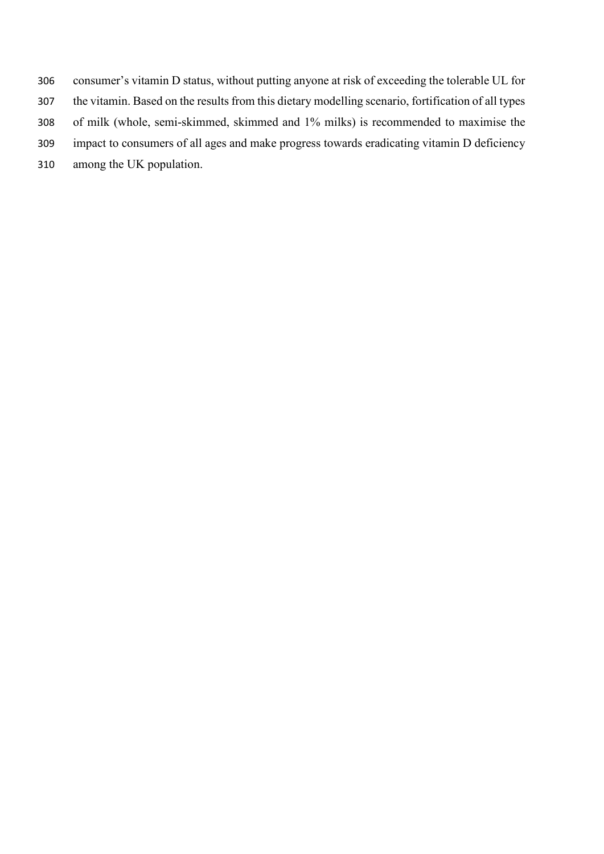- consumer's vitamin D status, without putting anyone at risk of exceeding the tolerable UL for
- the vitamin. Based on the results from this dietary modelling scenario, fortification of all types
- of milk (whole, semi-skimmed, skimmed and 1% milks) is recommended to maximise the
- impact to consumers of all ages and make progress towards eradicating vitamin D deficiency
- among the UK population.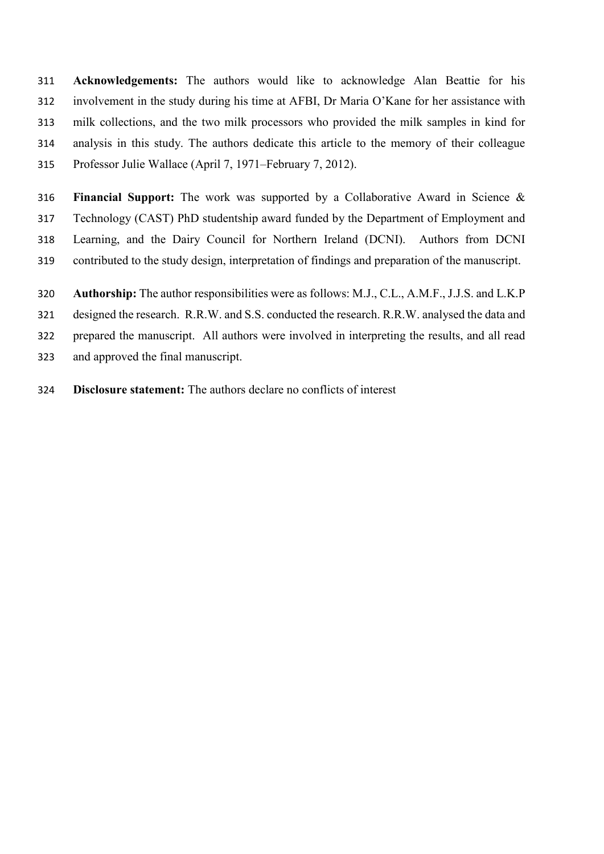**Acknowledgements:** The authors would like to acknowledge Alan Beattie for his involvement in the study during his time at AFBI, Dr Maria O'Kane for her assistance with milk collections, and the two milk processors who provided the milk samples in kind for analysis in this study. The authors dedicate this article to the memory of their colleague Professor Julie Wallace (April 7, 1971–February 7, 2012).

 **Financial Support:** The work was supported by a Collaborative Award in Science & Technology (CAST) PhD studentship award funded by the Department of Employment and Learning, and the Dairy Council for Northern Ireland (DCNI). Authors from DCNI contributed to the study design, interpretation of findings and preparation of the manuscript.

**Authorship:** The author responsibilities were as follows: M.J., C.L., A.M.F., J.J.S. and L.K.P

designed the research. R.R.W. and S.S. conducted the research. R.R.W. analysed the data and

prepared the manuscript. All authors were involved in interpreting the results, and all read

- and approved the final manuscript.
- **Disclosure statement:** The authors declare no conflicts of interest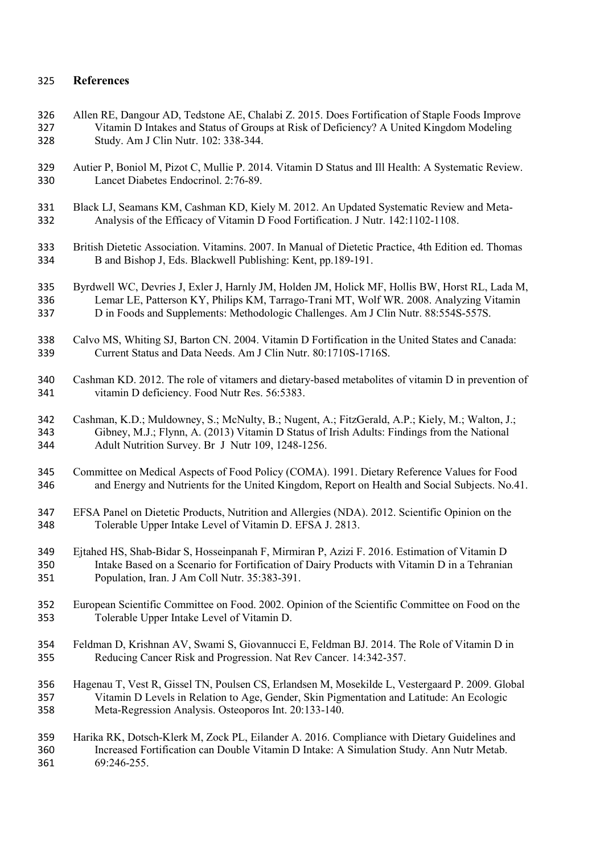## **References**

- Allen RE, Dangour AD, Tedstone AE, Chalabi Z. 2015. Does Fortification of Staple Foods Improve Vitamin D Intakes and Status of Groups at Risk of Deficiency? A United Kingdom Modeling Study. Am J Clin Nutr. 102: 338-344.
- Autier P, Boniol M, Pizot C, Mullie P. 2014. Vitamin D Status and Ill Health: A Systematic Review. Lancet Diabetes Endocrinol. 2:76-89.
- Black LJ, Seamans KM, Cashman KD, Kiely M. 2012. An Updated Systematic Review and Meta-Analysis of the Efficacy of Vitamin D Food Fortification. J Nutr. 142:1102-1108.
- British Dietetic Association. Vitamins. 2007. In Manual of Dietetic Practice, 4th Edition ed. Thomas B and Bishop J, Eds. Blackwell Publishing: Kent, pp.189-191.
- Byrdwell WC, Devries J, Exler J, Harnly JM, Holden JM, Holick MF, Hollis BW, Horst RL, Lada M, Lemar LE, Patterson KY, Philips KM, Tarrago-Trani MT, Wolf WR. 2008. Analyzing Vitamin D in Foods and Supplements: Methodologic Challenges. Am J Clin Nutr. 88:554S-557S.
- Calvo MS, Whiting SJ, Barton CN. 2004. Vitamin D Fortification in the United States and Canada: Current Status and Data Needs. Am J Clin Nutr. 80:1710S-1716S.
- Cashman KD. 2012. The role of vitamers and dietary-based metabolites of vitamin D in prevention of vitamin D deficiency. Food Nutr Res. 56:5383.
- Cashman, K.D.; Muldowney, S.; McNulty, B.; Nugent, A.; FitzGerald, A.P.; Kiely, M.; Walton, J.; Gibney, M.J.; Flynn, A. (2013) Vitamin D Status of Irish Adults: Findings from the National Adult Nutrition Survey. Br J Nutr 109, 1248-1256.
- Committee on Medical Aspects of Food Policy (COMA). 1991. Dietary Reference Values for Food and Energy and Nutrients for the United Kingdom, Report on Health and Social Subjects. No.41.
- EFSA Panel on Dietetic Products, Nutrition and Allergies (NDA). 2012. Scientific Opinion on the Tolerable Upper Intake Level of Vitamin D. EFSA J. 2813.
- Ejtahed HS, Shab-Bidar S, Hosseinpanah F, Mirmiran P, Azizi F. 2016. Estimation of Vitamin D Intake Based on a Scenario for Fortification of Dairy Products with Vitamin D in a Tehranian Population, Iran. J Am Coll Nutr. 35:383-391.
- European Scientific Committee on Food. 2002. Opinion of the Scientific Committee on Food on the Tolerable Upper Intake Level of Vitamin D.
- Feldman D, Krishnan AV, Swami S, Giovannucci E, Feldman BJ. 2014. The Role of Vitamin D in Reducing Cancer Risk and Progression. Nat Rev Cancer. 14:342-357.
- Hagenau T, Vest R, Gissel TN, Poulsen CS, Erlandsen M, Mosekilde L, Vestergaard P. 2009. Global Vitamin D Levels in Relation to Age, Gender, Skin Pigmentation and Latitude: An Ecologic Meta-Regression Analysis. Osteoporos Int. 20:133-140.
- Harika RK, Dotsch-Klerk M, Zock PL, Eilander A. 2016. Compliance with Dietary Guidelines and Increased Fortification can Double Vitamin D Intake: A Simulation Study. Ann Nutr Metab. 69:246-255.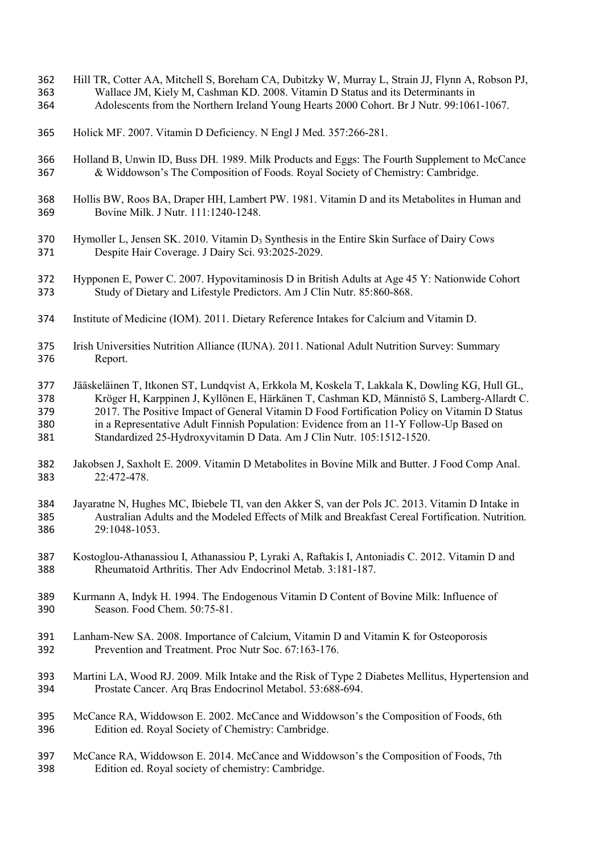- Hill TR, Cotter AA, Mitchell S, Boreham CA, Dubitzky W, Murray L, Strain JJ, Flynn A, Robson PJ, Wallace JM, Kiely M, Cashman KD. 2008. Vitamin D Status and its Determinants in
- Adolescents from the Northern Ireland Young Hearts 2000 Cohort. Br J Nutr. 99:1061-1067.
- Holick MF. 2007. Vitamin D Deficiency. N Engl J Med. 357:266-281.
- Holland B, Unwin ID, Buss DH. 1989. Milk Products and Eggs: The Fourth Supplement to McCance & Widdowson's The Composition of Foods. Royal Society of Chemistry: Cambridge.
- Hollis BW, Roos BA, Draper HH, Lambert PW. 1981. Vitamin D and its Metabolites in Human and Bovine Milk. J Nutr. 111:1240-1248.
- 370 Hymoller L, Jensen SK. 2010. Vitamin  $D_3$  Synthesis in the Entire Skin Surface of Dairy Cows Despite Hair Coverage. J Dairy Sci. 93:2025-2029.
- Hypponen E, Power C. 2007. Hypovitaminosis D in British Adults at Age 45 Y: Nationwide Cohort Study of Dietary and Lifestyle Predictors. Am J Clin Nutr. 85:860-868.
- Institute of Medicine (IOM). 2011. Dietary Reference Intakes for Calcium and Vitamin D.
- Irish Universities Nutrition Alliance (IUNA). 2011. National Adult Nutrition Survey: Summary Report.
- Jääskeläinen T, Itkonen ST, Lundqvist A, Erkkola M, Koskela T, Lakkala K, Dowling KG, Hull GL, Kröger H, Karppinen J, Kyllönen E, Härkänen T, Cashman KD, Männistö S, Lamberg-Allardt C. 2017. The Positive Impact of General Vitamin D Food Fortification Policy on Vitamin D Status in a Representative Adult Finnish Population: Evidence from an 11-Y Follow-Up Based on Standardized 25-Hydroxyvitamin D Data. Am J Clin Nutr. 105:1512-1520.
- Jakobsen J, Saxholt E. 2009. Vitamin D Metabolites in Bovine Milk and Butter. J Food Comp Anal. 22:472-478.
- Jayaratne N, Hughes MC, Ibiebele TI, van den Akker S, van der Pols JC. 2013. Vitamin D Intake in Australian Adults and the Modeled Effects of Milk and Breakfast Cereal Fortification. Nutrition. 29:1048-1053.
- Kostoglou-Athanassiou I, Athanassiou P, Lyraki A, Raftakis I, Antoniadis C. 2012. Vitamin D and Rheumatoid Arthritis. Ther Adv Endocrinol Metab. 3:181-187.
- Kurmann A, Indyk H. 1994. The Endogenous Vitamin D Content of Bovine Milk: Influence of Season. Food Chem. 50:75-81.
- Lanham-New SA. 2008. Importance of Calcium, Vitamin D and Vitamin K for Osteoporosis Prevention and Treatment. Proc Nutr Soc. 67:163-176.
- Martini LA, Wood RJ. 2009. Milk Intake and the Risk of Type 2 Diabetes Mellitus, Hypertension and Prostate Cancer. Arq Bras Endocrinol Metabol. 53:688-694.
- McCance RA, Widdowson E. 2002. McCance and Widdowson's the Composition of Foods, 6th Edition ed. Royal Society of Chemistry: Cambridge.
- McCance RA, Widdowson E. 2014. McCance and Widdowson's the Composition of Foods, 7th Edition ed. Royal society of chemistry: Cambridge.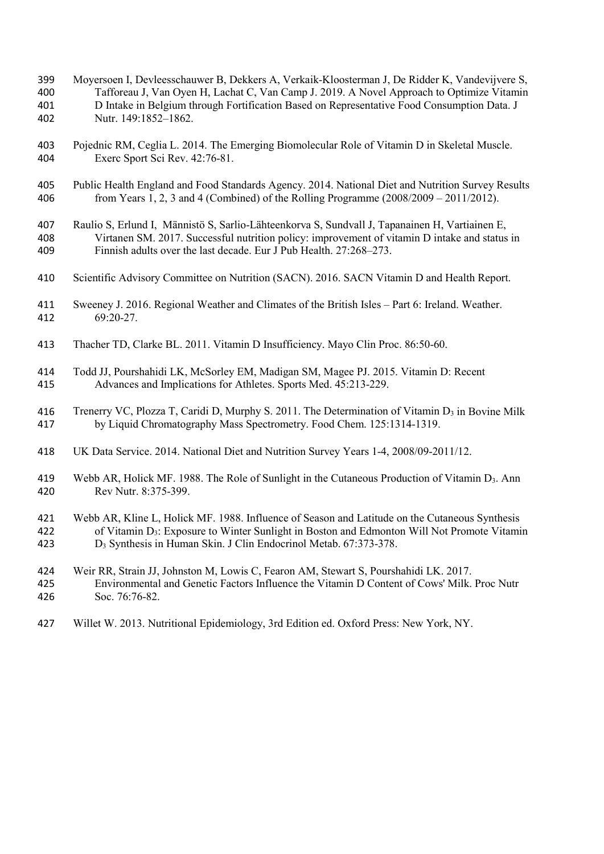- Moyersoen I, Devleesschauwer B, Dekkers A, Verkaik-Kloosterman J, De Ridder K, Vandevijvere S, Tafforeau J, Van Oyen H, Lachat C, Van Camp J. 2019. A Novel Approach to Optimize Vitamin D Intake in Belgium through Fortification Based on Representative Food Consumption Data. J Nutr. 149:1852–1862.
- Pojednic RM, Ceglia L. 2014. The Emerging Biomolecular Role of Vitamin D in Skeletal Muscle. Exerc Sport Sci Rev. 42:76-81.
- Public Health England and Food Standards Agency. 2014. National Diet and Nutrition Survey Results from Years 1, 2, 3 and 4 (Combined) of the Rolling Programme (2008/2009 – 2011/2012).
- Raulio S, Erlund I, Männistö S, Sarlio-Lähteenkorva S, Sundvall J, Tapanainen H, Vartiainen E, Virtanen SM. 2017. Successful nutrition policy: improvement of vitamin D intake and status in Finnish adults over the last decade. Eur J Pub Health. 27:268–273.
- Scientific Advisory Committee on Nutrition (SACN). 2016. SACN Vitamin D and Health Report.
- Sweeney J. 2016. Regional Weather and Climates of the British Isles Part 6: Ireland. Weather. 69:20-27.
- Thacher TD, Clarke BL. 2011. Vitamin D Insufficiency. Mayo Clin Proc. 86:50-60.
- Todd JJ, Pourshahidi LK, McSorley EM, Madigan SM, Magee PJ. 2015. Vitamin D: Recent Advances and Implications for Athletes. Sports Med. 45:213-229.
- 416 Trenerry VC, Plozza T, Caridi D, Murphy S. 2011. The Determination of Vitamin D<sub>3</sub> in Bovine Milk by Liquid Chromatography Mass Spectrometry. Food Chem. 125:1314-1319.
- UK Data Service. 2014. National Diet and Nutrition Survey Years 1-4, 2008/09-2011/12.
- Webb AR, Holick MF. 1988. The Role of Sunlight in the Cutaneous Production of Vitamin D3. Ann Rev Nutr. 8:375-399.
- Webb AR, Kline L, Holick MF. 1988. Influence of Season and Latitude on the Cutaneous Synthesis of Vitamin D3: Exposure to Winter Sunlight in Boston and Edmonton Will Not Promote Vitamin D3 Synthesis in Human Skin. J Clin Endocrinol Metab. 67:373-378.
- Weir RR, Strain JJ, Johnston M, Lowis C, Fearon AM, Stewart S, Pourshahidi LK. 2017.
- Environmental and Genetic Factors Influence the Vitamin D Content of Cows' Milk. Proc Nutr Soc. 76:76-82.
- Willet W. 2013. Nutritional Epidemiology, 3rd Edition ed. Oxford Press: New York, NY.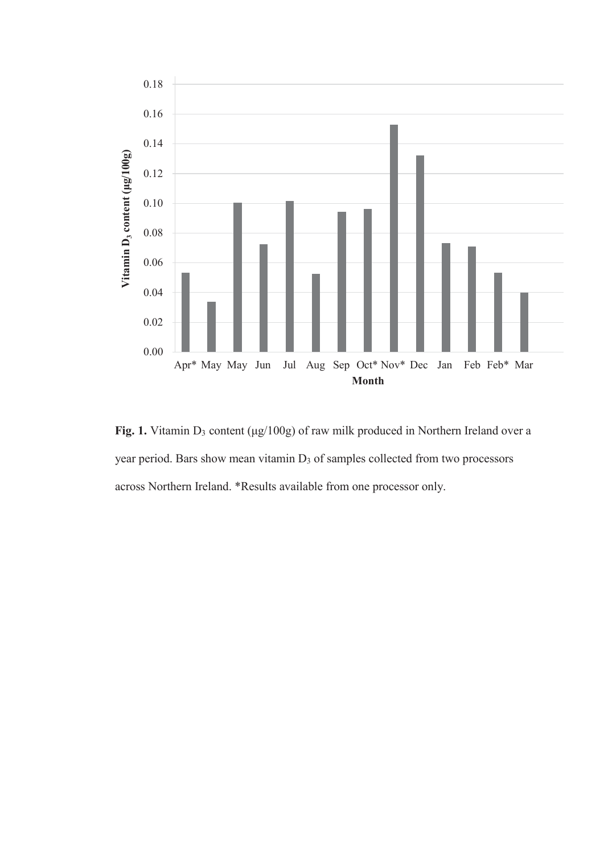

**Fig. 1.** Vitamin D3 content (μg/100g) of raw milk produced in Northern Ireland over a year period. Bars show mean vitamin D<sub>3</sub> of samples collected from two processors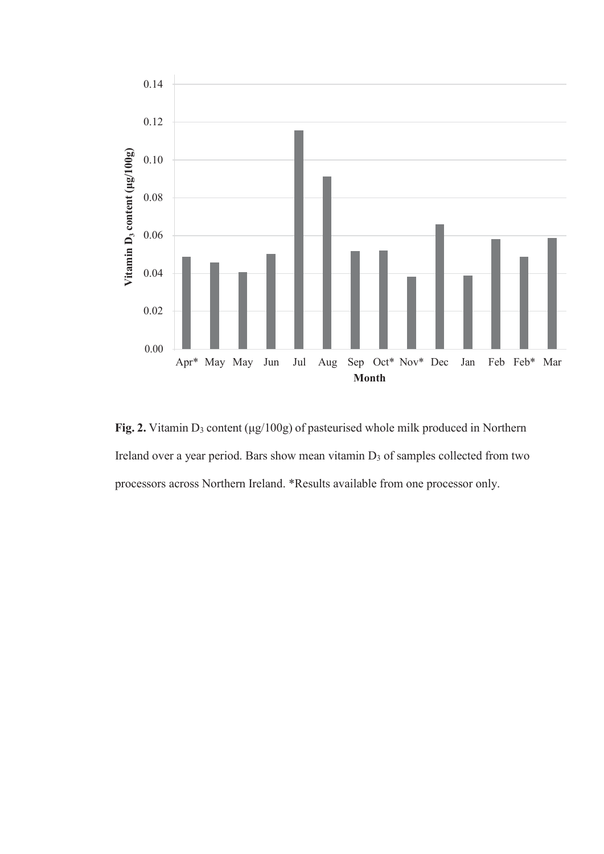

**Fig. 2.** Vitamin D3 content (μg/100g) of pasteurised whole milk produced in Northern Ireland over a year period. Bars show mean vitamin D<sub>3</sub> of samples collected from two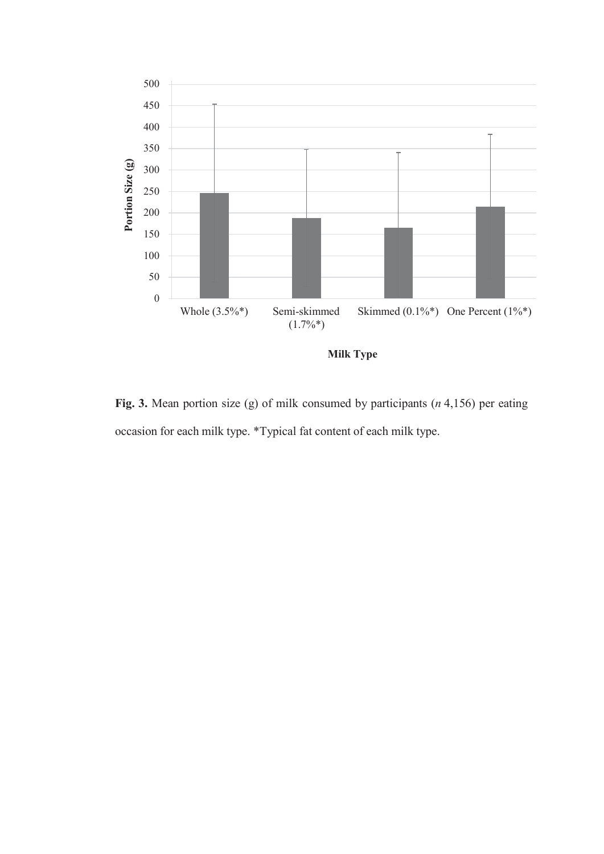

**Milk Type**

**Fig. 3.** Mean portion size (g) of milk consumed by participants (*n* 4,156) per eating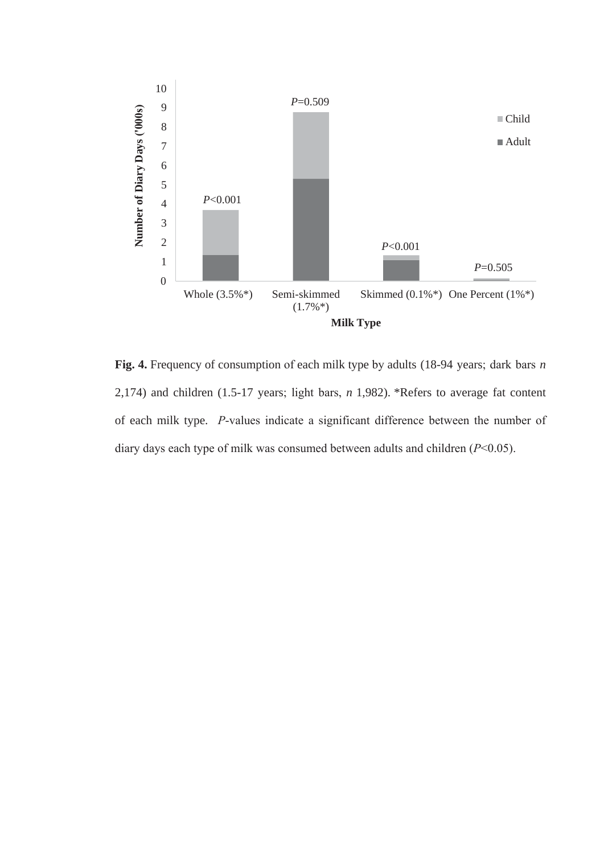

**Fig. 4.** Frequency of consumption of each milk type by adults (18-94 years; dark bars *n* 2,174) and children (1.5-17 years; light bars, *n* 1,982). \*Refers to average fat content of each milk type. *P*-values indicate a significant difference between the number of diary days each type of milk was consumed between adults and children (*P*<0.05).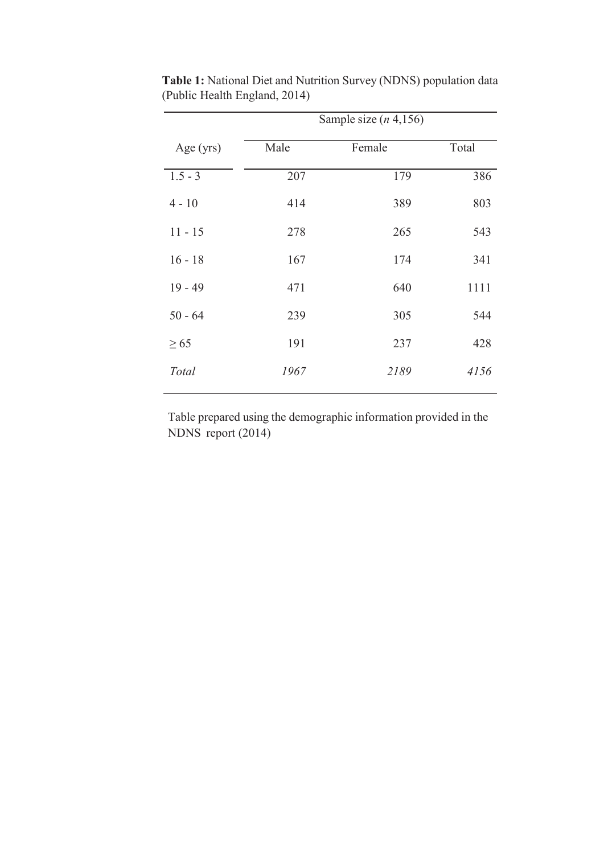|             | Sample size $(n, 4, 156)$ |        |       |  |  |  |  |  |
|-------------|---------------------------|--------|-------|--|--|--|--|--|
| Age $(yrs)$ | Male                      | Female | Total |  |  |  |  |  |
| $1.5 - 3$   | 207                       | 179    | 386   |  |  |  |  |  |
| $4 - 10$    | 414                       | 389    | 803   |  |  |  |  |  |
| $11 - 15$   | 278                       | 265    | 543   |  |  |  |  |  |
| $16 - 18$   | 167                       | 174    | 341   |  |  |  |  |  |
| $19 - 49$   | 471                       | 640    | 1111  |  |  |  |  |  |
| $50 - 64$   | 239                       | 305    | 544   |  |  |  |  |  |
| $\geq 65$   | 191                       | 237    | 428   |  |  |  |  |  |
| Total       | 1967                      | 2189   | 4156  |  |  |  |  |  |
|             |                           |        |       |  |  |  |  |  |

**Table 1:** National Diet and Nutrition Survey (NDNS) population data (Public Health England, 2014)

Table prepared using the demographic information provided in the NDNS report (2014)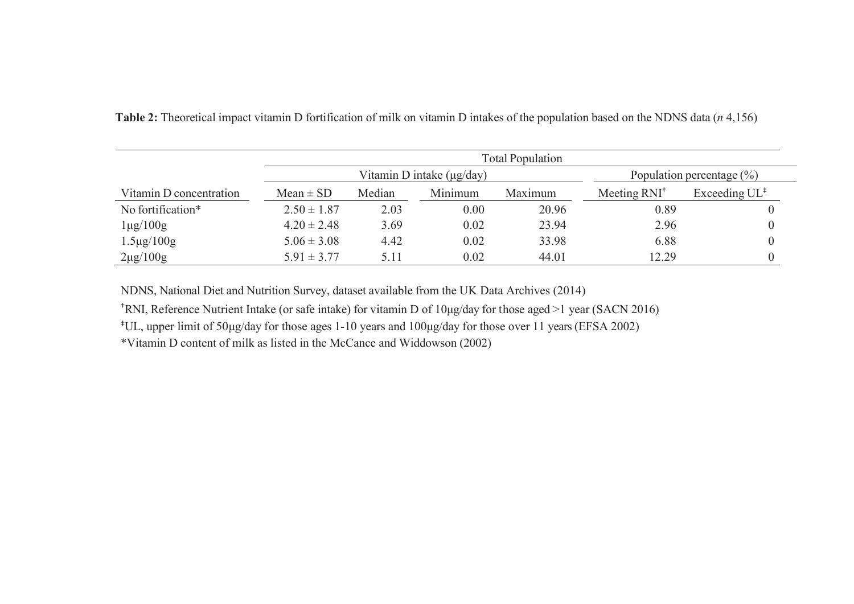|                         | <b>Total Population</b> |                                |                               |         |                |                           |  |  |
|-------------------------|-------------------------|--------------------------------|-------------------------------|---------|----------------|---------------------------|--|--|
|                         |                         | Vitamin D intake $(\mu g/day)$ | Population percentage $(\% )$ |         |                |                           |  |  |
| Vitamin D concentration | $Mean \pm SD$           | Median                         | Minimum                       | Maximum | Meeting $RNI+$ | Exceeding $UL^{\ddagger}$ |  |  |
| No fortification*       | $2.50 \pm 1.87$         | 2.03                           | 0.00                          | 20.96   | 0.89           |                           |  |  |
| $1\mu g/100g$           | $4.20 \pm 2.48$         | 3.69                           | 0.02                          | 23.94   | 2.96           |                           |  |  |
| $1.5 \mu g / 100 g$     | $5.06 \pm 3.08$         | 4.42                           | 0.02                          | 33.98   | 6.88           |                           |  |  |
| $2\mu g/100g$           | $5.91 \pm 3.77$         | 5.11                           | 0.02                          | 44.01   | 12.29          |                           |  |  |

**Table 2:** Theoretical impact vitamin D fortification of milk on vitamin D intakes of the population based on the NDNS data (*n* 4,156)

NDNS, National Diet and Nutrition Survey, dataset available from the UK Data Archives (2014)

†RNI, Reference Nutrient Intake (or safe intake) for vitamin D of 10μg/day for those aged >1 year (SACN 2016)

‡UL, upper limit of 50μg/day for those ages 1-10 years and 100μg/day for those over 11 years(EFSA 2002)

\*Vitamin D content of milk as listed in the McCance and Widdowson (2002)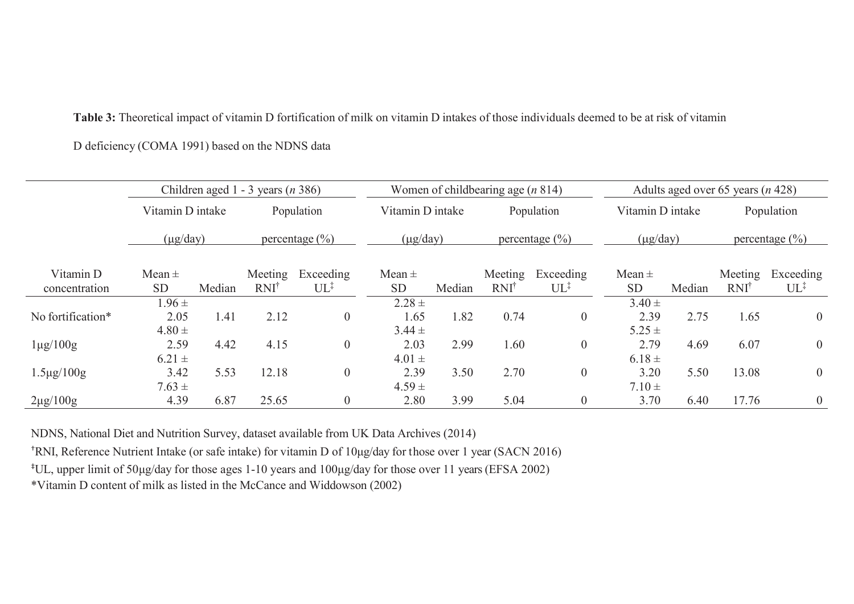**Table 3:** Theoretical impact of vitamin D fortification of milk on vitamin D intakes of those individuals deemed to be at risk of vitamin D deficiency (COMA 1991) based on the NDNS data

|                            |                                  |        | Children aged 1 - 3 years $(n 386)$ |                              | Women of childbearing age $(n 814)$ |                  |                |                                       | Adults aged over 65 years $(n 428)$ |                  |                             |                              |  |
|----------------------------|----------------------------------|--------|-------------------------------------|------------------------------|-------------------------------------|------------------|----------------|---------------------------------------|-------------------------------------|------------------|-----------------------------|------------------------------|--|
|                            | Vitamin D intake                 |        | Population                          |                              |                                     | Vitamin D intake |                | Population                            |                                     | Vitamin D intake |                             | Population                   |  |
|                            | $(\mu g / day)$                  |        |                                     | percentage $(\frac{0}{0})$   |                                     | $(\mu g / day)$  |                | percentage $\left(\frac{0}{0}\right)$ |                                     | $(\mu g / day)$  |                             | percentage $(\% )$           |  |
| Vitamin D<br>concentration | Mean $\pm$<br><b>SD</b>          | Median | Meeting<br>RNI <sup>†</sup>         | Exceeding<br>$UL^{\ddagger}$ | Mean $\pm$<br><b>SD</b>             | Median           | Meeting<br>RNI | Exceeding<br>$UL^{\ddagger}$          | Mean $\pm$<br><b>SD</b>             | Median           | Meeting<br>RNI <sup>†</sup> | Exceeding<br>$UL^{\ddagger}$ |  |
| No fortification*          | $1.96 \pm$<br>2.05<br>$4.80 \pm$ | 1.41   | 2.12                                | $\boldsymbol{0}$             | $2.28 \pm$<br>1.65<br>$3.44 \pm$    | 1.82             | 0.74           | $\boldsymbol{0}$                      | $3.40 \pm$<br>2.39<br>$5.25 \pm$    | 2.75             | 1.65                        | $\overline{0}$               |  |
| $1\mu g/100g$              | 2.59<br>$6.21 \pm$               | 4.42   | 4.15                                | $\overline{0}$               | 2.03<br>$4.01 \pm$                  | 2.99             | 1.60           | $\boldsymbol{0}$                      | 2.79<br>$6.18 \pm$                  | 4.69             | 6.07                        | $\boldsymbol{0}$             |  |
| $1.5 \mu g / 100 g$        | 3.42<br>$7.63 \pm$               | 5.53   | 12.18                               | 0                            | 2.39<br>$4.59 \pm$                  | 3.50             | 2.70           | $\boldsymbol{0}$                      | 3.20<br>$7.10 \pm$                  | 5.50             | 13.08                       | $\overline{0}$               |  |
| $2\mu g/100g$              | 4.39                             | 6.87   | 25.65                               | $\overline{0}$               | 2.80                                | 3.99             | 5.04           | $\boldsymbol{0}$                      | 3.70                                | 6.40             | 17.76                       | $\theta$                     |  |

NDNS, National Diet and Nutrition Survey, dataset available from UK Data Archives (2014)

†RNI, Reference Nutrient Intake (or safe intake) for vitamin D of 10μg/day for those over 1 year (SACN 2016)

‡UL, upper limit of 50μg/day for those ages 1-10 years and 100μg/day for those over 11 years(EFSA 2002)

\*Vitamin D content of milk as listed in the McCance and Widdowson (2002)